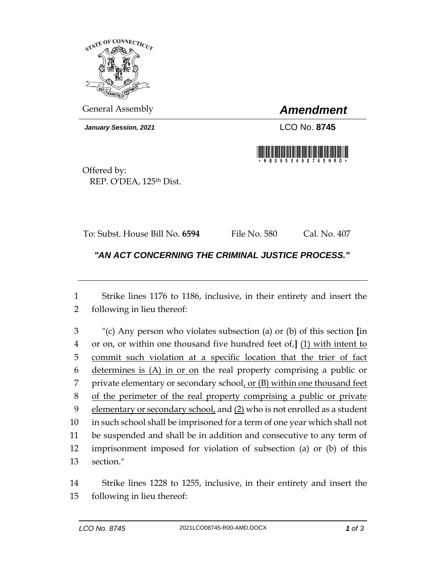

General Assembly *Amendment*

*January Session, 2021* LCO No. **8745**



Offered by: REP. O'DEA, 125<sup>th</sup> Dist.

To: Subst. House Bill No. **6594** File No. 580 Cal. No. 407

*"AN ACT CONCERNING THE CRIMINAL JUSTICE PROCESS."* 

 Strike lines 1176 to 1186, inclusive, in their entirety and insert the following in lieu thereof:

 "(c) Any person who violates subsection (a) or (b) of this section **[**in or on, or within one thousand five hundred feet of,**]** (1) with intent to commit such violation at a specific location that the trier of fact determines is (A) in or on the real property comprising a public or 7 private elementary or secondary school, or (B) within one thousand feet of the perimeter of the real property comprising a public or private elementary or secondary school, and (2) who is not enrolled as a student in such school shall be imprisoned for a term of one year which shall not be suspended and shall be in addition and consecutive to any term of imprisonment imposed for violation of subsection (a) or (b) of this section."

 Strike lines 1228 to 1255, inclusive, in their entirety and insert the following in lieu thereof: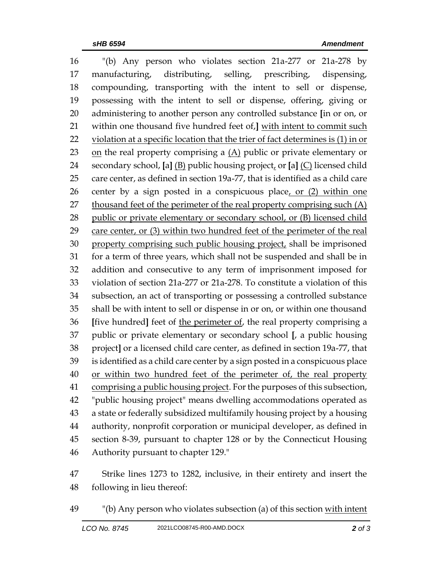"(b) Any person who violates section 21a-277 or 21a-278 by manufacturing, distributing, selling, prescribing, dispensing, compounding, transporting with the intent to sell or dispense, possessing with the intent to sell or dispense, offering, giving or administering to another person any controlled substance **[**in or on, or within one thousand five hundred feet of,**]** with intent to commit such violation at a specific location that the trier of fact determines is (1) in or on the real property comprising a (A) public or private elementary or secondary school, **[**a**]** (B) public housing project, or **[**a**]** (C) licensed child care center, as defined in section 19a-77, that is identified as a child care 26 center by a sign posted in a conspicuous place, or (2) within one thousand feet of the perimeter of the real property comprising such (A) 28 public or private elementary or secondary school, or (B) licensed child care center, or (3) within two hundred feet of the perimeter of the real property comprising such public housing project, shall be imprisoned for a term of three years, which shall not be suspended and shall be in addition and consecutive to any term of imprisonment imposed for violation of section 21a-277 or 21a-278. To constitute a violation of this subsection, an act of transporting or possessing a controlled substance shall be with intent to sell or dispense in or on, or within one thousand **[**five hundred**]** feet of the perimeter of, the real property comprising a public or private elementary or secondary school **[**, a public housing project**]** or a licensed child care center, as defined in section 19a-77, that is identified as a child care center by a sign posted in a conspicuous place or within two hundred feet of the perimeter of, the real property comprising a public housing project. For the purposes of this subsection, "public housing project" means dwelling accommodations operated as a state or federally subsidized multifamily housing project by a housing authority, nonprofit corporation or municipal developer, as defined in section 8-39, pursuant to chapter 128 or by the Connecticut Housing Authority pursuant to chapter 129."

 Strike lines 1273 to 1282, inclusive, in their entirety and insert the following in lieu thereof:

"(b) Any person who violates subsection (a) of this section with intent